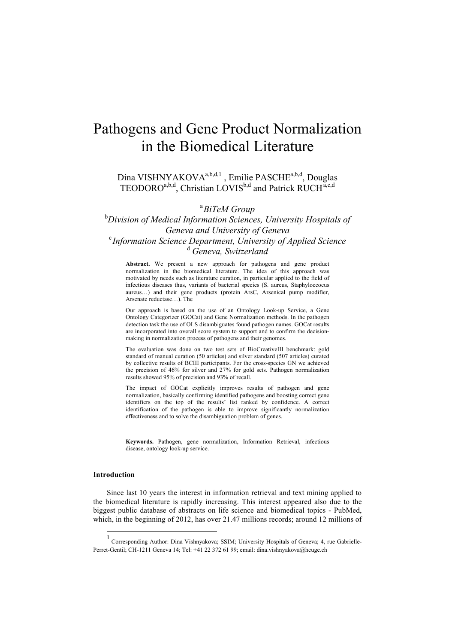# Pathogens and Gene Product Normalization in the Biomedical Literature

Dina VISHNYAKOVA<sup>a,b,d,1</sup>, Emilie PASCHE<sup>a,b,d</sup>, Douglas TEODORO<sup>a,b,d</sup>, Christian LOVIS<sup>b,d</sup> and Patrick RUCH<sup>a,c,d</sup>

a *BiTeM Group*

b *Division of Medical Information Sciences, University Hospitals of Geneva and University of Geneva* <sup>c</sup> *Information Science Department, University of Applied Science* d  *Geneva, Switzerland*

**Abstract.** We present a new approach for pathogens and gene product normalization in the biomedical literature. The idea of this approach was motivated by needs such as literature curation, in particular applied to the field of infectious diseases thus, variants of bacterial species (S. aureus, Staphyloccocus aureus…) and their gene products (protein ArsC, Arsenical pump modifier, Arsenate reductase…). The

Our approach is based on the use of an Ontology Look-up Service, a Gene Ontology Categorizer (GOCat) and Gene Normalization methods. In the pathogen detection task the use of OLS disambiguates found pathogen names. GOCat results are incorporated into overall score system to support and to confirm the decisionmaking in normalization process of pathogens and their genomes.

The evaluation was done on two test sets of BioCreativeIII benchmark: gold standard of manual curation (50 articles) and silver standard (507 articles) curated by collective results of BCIII participants. For the cross-species GN we achieved the precision of 46% for silver and 27% for gold sets. Pathogen normalization results showed 95% of precision and 93% of recall.

The impact of GOCat explicitly improves results of pathogen and gene normalization, basically confirming identified pathogens and boosting correct gene identifiers on the top of the results' list ranked by confidence. A correct identification of the pathogen is able to improve significantly normalization effectiveness and to solve the disambiguation problem of genes.

**Keywords.** Pathogen, gene normalization, Information Retrieval, infectious disease, ontology look-up service.

## **Introduction**

Since last 10 years the interest in information retrieval and text mining applied to the biomedical literature is rapidly increasing. This interest appeared also due to the biggest public database of abstracts on life science and biomedical topics - PubMed, which, in the beginning of 2012, has over 21.47 millions records; around 12 millions of

 $\frac{1}{1}$  Corresponding Author: Dina Vishnyakova; SSIM; University Hospitals of Geneva; 4, rue Gabrielle-Perret-Gentil; CH-1211 Geneva 14; Tel: +41 22 372 61 99; email: dina.vishnyakova@hcuge.ch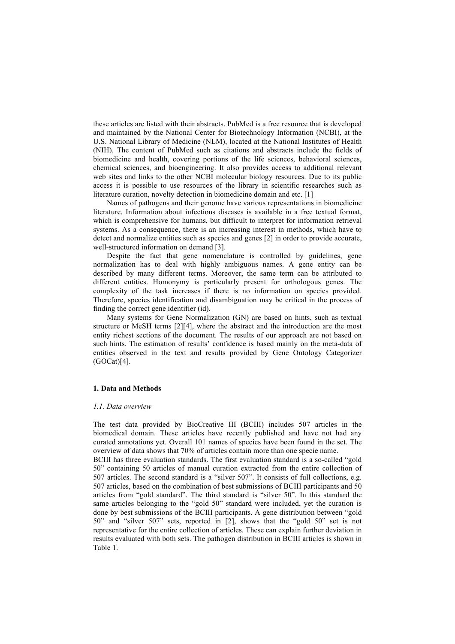these articles are listed with their abstracts. PubMed is a free resource that is developed and maintained by the National Center for Biotechnology Information (NCBI), at the U.S. National Library of Medicine (NLM), located at the National Institutes of Health (NIH). The content of PubMed such as citations and abstracts include the fields of biomedicine and health, covering portions of the life sciences, behavioral sciences, chemical sciences, and bioengineering. It also provides access to additional relevant web sites and links to the other NCBI molecular biology resources. Due to its public access it is possible to use resources of the library in scientific researches such as literature curation, novelty detection in biomedicine domain and etc. [1]

Names of pathogens and their genome have various representations in biomedicine literature. Information about infectious diseases is available in a free textual format, which is comprehensive for humans, but difficult to interpret for information retrieval systems. As a consequence, there is an increasing interest in methods, which have to detect and normalize entities such as species and genes [2] in order to provide accurate, well-structured information on demand [3].

Despite the fact that gene nomenclature is controlled by guidelines, gene normalization has to deal with highly ambiguous names. A gene entity can be described by many different terms. Moreover, the same term can be attributed to different entities. Homonymy is particularly present for orthologous genes. The complexity of the task increases if there is no information on species provided. Therefore, species identification and disambiguation may be critical in the process of finding the correct gene identifier (id).

Many systems for Gene Normalization (GN) are based on hints, such as textual structure or MeSH terms [2][4], where the abstract and the introduction are the most entity richest sections of the document. The results of our approach are not based on such hints. The estimation of results' confidence is based mainly on the meta-data of entities observed in the text and results provided by Gene Ontology Categorizer (GOCat)[4].

## **1. Data and Methods**

### *1.1. Data overview*

The test data provided by BioCreative III (BCIII) includes 507 articles in the biomedical domain. These articles have recently published and have not had any curated annotations yet. Overall 101 names of species have been found in the set. The overview of data shows that 70% of articles contain more than one specie name.

BCIII has three evaluation standards. The first evaluation standard is a so-called "gold 50" containing 50 articles of manual curation extracted from the entire collection of 507 articles. The second standard is a "silver 507". It consists of full collections, e.g. 507 articles, based on the combination of best submissions of BCIII participants and 50 articles from "gold standard". The third standard is "silver 50". In this standard the same articles belonging to the "gold 50" standard were included, yet the curation is done by best submissions of the BCIII participants. A gene distribution between "gold 50" and "silver 507" sets, reported in [2], shows that the "gold 50" set is not representative for the entire collection of articles. These can explain further deviation in results evaluated with both sets. The pathogen distribution in BCIII articles is shown in Table 1.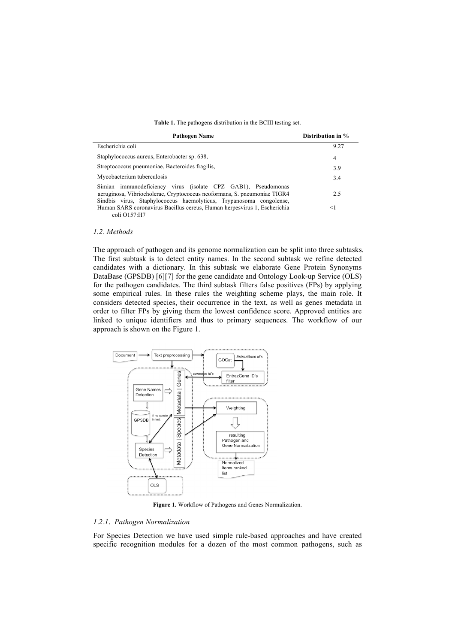| Table 1. The pathogens distribution in the BCIII testing set. |  |  |
|---------------------------------------------------------------|--|--|
|                                                               |  |  |

| Pathogen Name                                                                                                                                                                                                    | Distribution in % |  |
|------------------------------------------------------------------------------------------------------------------------------------------------------------------------------------------------------------------|-------------------|--|
| Escherichia coli                                                                                                                                                                                                 | 9.27              |  |
| Staphylococcus aureus, Enterobacter sp. 638,                                                                                                                                                                     | 4                 |  |
| Streptococcus pneumoniae, Bacteroides fragilis,                                                                                                                                                                  | 3.9               |  |
| Mycobacterium tuberculosis                                                                                                                                                                                       | 3.4               |  |
| Simian immunodeficiency virus (isolate CPZ GAB1), Pseudomonas<br>aeruginosa, Vibriocholerae, Cryptococcus neoformans, S. pneumoniae TIGR4<br>Sindbis virus, Staphylococcus haemolyticus, Trypanosoma congolense, | 2.5               |  |
| Human SARS coronavirus Bacillus cereus, Human herpesvirus 1, Escherichia<br>coli O157:H7                                                                                                                         | $<$ 1             |  |

#### *1.2. Methods*

The approach of pathogen and its genome normalization can be split into three subtasks. The first subtask is to detect entity names. In the second subtask we refine detected candidates with a dictionary. In this subtask we elaborate Gene Protein Synonyms DataBase (GPSDB) [6][7] for the gene candidate and Ontology Look-up Service (OLS) for the pathogen candidates. The third subtask filters false positives (FPs) by applying some empirical rules. In these rules the weighting scheme plays, the main role. It considers detected species, their occurrence in the text, as well as genes metadata in order to filter FPs by giving them the lowest confidence score. Approved entities are linked to unique identifiers and thus to primary sequences. The workflow of our approach is shown on the Figure 1.



**Figure 1.** Workflow of Pathogens and Genes Normalization.

## *1.2.1. Pathogen Normalization*

For Species Detection we have used simple rule-based approaches and have created specific recognition modules for a dozen of the most common pathogens, such as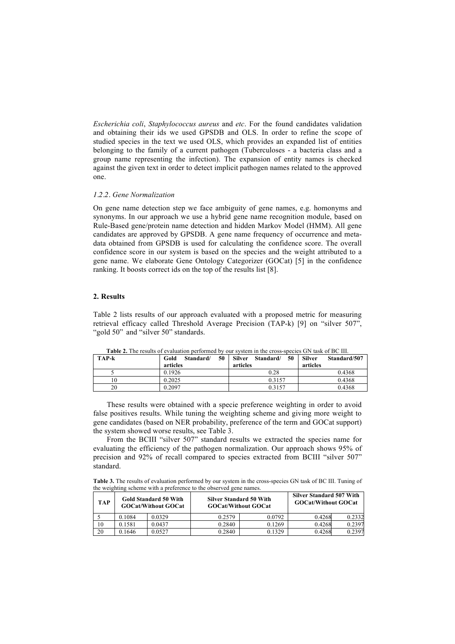*Escherichia coli*, *Staphylococcus aureus* and *etc*. For the found candidates validation and obtaining their ids we used GPSDB and OLS. In order to refine the scope of studied species in the text we used OLS, which provides an expanded list of entities belonging to the family of a current pathogen (Tuberculoses - a bacteria class and a group name representing the infection). The expansion of entity names is checked against the given text in order to detect implicit pathogen names related to the approved one.

## *1.2.2. Gene Normalization*

On gene name detection step we face ambiguity of gene names, e.g. homonyms and synonyms. In our approach we use a hybrid gene name recognition module, based on Rule-Based gene/protein name detection and hidden Markov Model (HMM). All gene candidates are approved by GPSDB. A gene name frequency of occurrence and metadata obtained from GPSDB is used for calculating the confidence score. The overall confidence score in our system is based on the species and the weight attributed to a gene name. We elaborate Gene Ontology Categorizer (GOCat) [5] in the confidence ranking. It boosts correct ids on the top of the results list [8].

# **2. Results**

Table 2 lists results of our approach evaluated with a proposed metric for measuring retrieval efficacy called Threshold Average Precision (TAP-k) [9] on "silver 507", "gold 50" and "silver 50" standards.

| <b>Table 2.</b> The results of evaluation performed by our system in the cross-species GIN task of BC III. |                         |                           |                               |  |  |  |  |
|------------------------------------------------------------------------------------------------------------|-------------------------|---------------------------|-------------------------------|--|--|--|--|
| <b>TAP-k</b>                                                                                               | 50<br>Gold<br>Standard/ | Silver<br>50<br>Standard/ | <b>Silver</b><br>Standard/507 |  |  |  |  |
|                                                                                                            | articles                | articles                  | articles                      |  |  |  |  |
|                                                                                                            | 0.1926                  | 0.28                      | 0.4368                        |  |  |  |  |
| 10                                                                                                         | 0.2025                  | 0.3157                    | 0.4368                        |  |  |  |  |
| 20                                                                                                         | 0.2097                  | 0.3157                    | 0.4368                        |  |  |  |  |

**Table 2.** The results of evaluation performed by our system in the cross-species GN task of BC III.

These results were obtained with a specie preference weighting in order to avoid false positives results. While tuning the weighting scheme and giving more weight to gene candidates (based on NER probability, preference of the term and GOCat support) the system showed worse results, see Table 3.

From the BCIII "silver 507" standard results we extracted the species name for evaluating the efficiency of the pathogen normalization. Our approach shows 95% of precision and 92% of recall compared to species extracted from BCIII "silver 507" standard.

**Table 3.** The results of evaluation performed by our system in the cross-species GN task of BC III. Tuning of the weighting scheme with a preference to the observed gene names.

| <b>TAP</b> | Gold Standard 50 With<br><b>GOCat/Without GOCat</b> |        | <b>Silver Standard 50 With</b><br><b>GOCat/Without GOCat</b> |        | <b>Silver Standard 507 With</b><br><b>GOCat/Without GOCat</b> |        |
|------------|-----------------------------------------------------|--------|--------------------------------------------------------------|--------|---------------------------------------------------------------|--------|
|            | 0.1084                                              | 0.0329 | 0.2579                                                       | 0.0792 | 0.4268                                                        | 0.2332 |
| 10         | 0.1581                                              | 0.0437 | 0.2840                                                       | 0.1269 | 0.4268                                                        | 0.2397 |
| 20         | 0.1646                                              | 0.0527 | 0.2840                                                       | 0.1329 | 0.4268                                                        | 0.2397 |